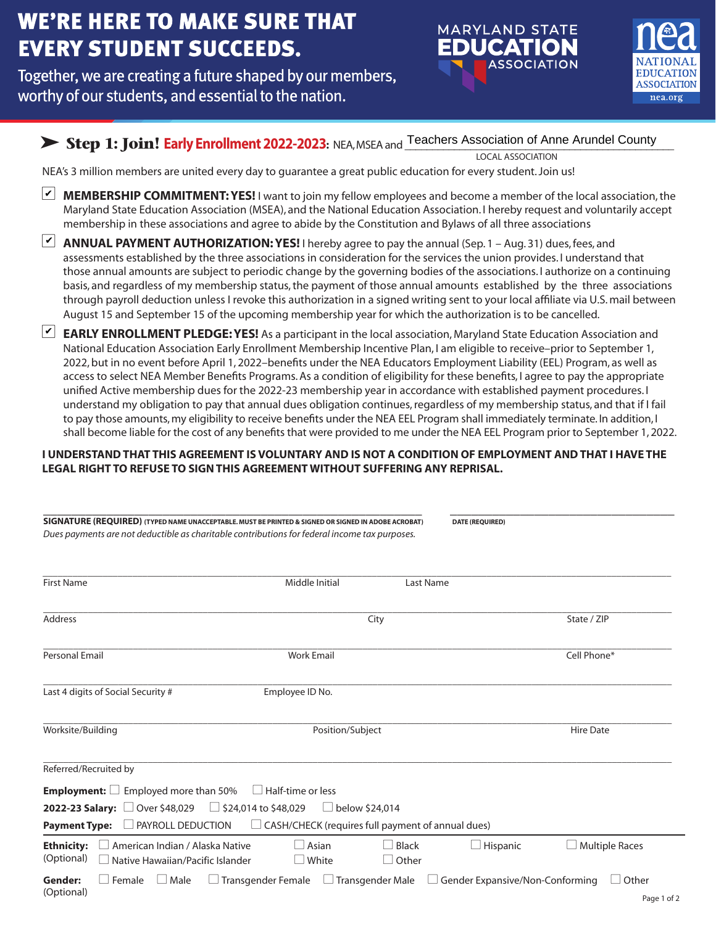## **WE'RE HERE TO MAKE SURE THAT EVERY STUDENT SUCCEEDS.**

Together, we are creating a future shaped by our members, worthy of our students, and essential to the nation.





## ► Step 1: Join! Early Enrollment 2022-2023: NEA, MSEA and Teachers Association of Anne Arundel County

LOCAL ASSOCIATION

NEA's 3 million members are united every day to guarantee a great public education for every student. Join us!

- **MEMBERSHIP COMMITMENT: YES!** I want to join my fellow employees and become a member of the local association, the Maryland State Education Association (MSEA), and the National Education Association. I hereby request and voluntarily accept membership in these associations and agree to abide by the Constitution and Bylaws of all three associations
- ANNUAL PAYMENT AUTHORIZATION: YES! I hereby agree to pay the annual (Sep. 1 Aug. 31) dues, fees, and assessments established by the three associations in consideration for the services the union provides. I understand that those annual amounts are subject to periodic change by the governing bodies of the associations. I authorize on a continuing basis, and regardless of my membership status, the payment of those annual amounts established by the three associations through payroll deduction unless I revoke this authorization in a signed writing sent to your local affiliate via U.S. mail between August 15 and September 15 of the upcoming membership year for which the authorization is to be cancelled.
- EARLY ENROLLMENT PLEDGE: YES! As a participant in the local association, Maryland State Education Association and National Education Association Early Enrollment Membership Incentive Plan, I am eligible to receive–prior to September 1, 2022, but in no event before April 1, 2022–benefits under the NEA Educators Employment Liability (EEL) Program, as well as access to select NEA Member Benefits Programs. As a condition of eligibility for these benefits, I agree to pay the appropriate unified Active membership dues for the 2022-23 membership year in accordance with established payment procedures. I understand my obligation to pay that annual dues obligation continues, regardless of my membership status, and that if I fail to pay those amounts, my eligibility to receive benefits under the NEA EEL Program shall immediately terminate. In addition, I shall become liable for the cost of any benefits that were provided to me under the NEA EEL Program prior to September 1, 2022.

**I UNDERSTAND THAT THIS AGREEMENT IS VOLUNTARY AND IS NOT A CONDITION OF EMPLOYMENT AND THAT I HAVE THE LEGAL RIGHT TO REFUSE TO SIGN THIS AGREEMENT WITHOUT SUFFERING ANY REPRISAL.**

\_\_\_\_\_\_\_\_\_\_\_\_\_\_\_\_\_\_\_\_\_\_\_\_\_\_\_\_\_\_\_\_\_\_\_\_\_\_\_\_\_\_\_\_\_\_\_\_\_\_\_\_\_\_ \_\_\_\_\_\_\_\_\_\_\_\_\_\_\_\_\_\_\_\_\_\_\_\_\_\_\_\_\_\_\_\_

| SIGNATURE (REQUIRED) (TYPED NAME UNACCEPTABLE. MUST BE PRINTED & SIGNED OR SIGNED IN ADOBE ACROBAT)<br><b>DATE (REQUIRED)</b><br>Dues payments are not deductible as charitable contributions for federal income tax purposes. |                                                                     |                             |                   |                                                          |                                        |                       |  |
|--------------------------------------------------------------------------------------------------------------------------------------------------------------------------------------------------------------------------------|---------------------------------------------------------------------|-----------------------------|-------------------|----------------------------------------------------------|----------------------------------------|-----------------------|--|
| <b>First Name</b>                                                                                                                                                                                                              |                                                                     |                             | Middle Initial    | <b>Last Name</b>                                         |                                        |                       |  |
|                                                                                                                                                                                                                                |                                                                     |                             |                   |                                                          |                                        |                       |  |
| <b>Address</b>                                                                                                                                                                                                                 |                                                                     |                             | City              |                                                          |                                        | State / ZIP           |  |
| <b>Personal Email</b>                                                                                                                                                                                                          |                                                                     |                             | <b>Work Email</b> |                                                          |                                        | Cell Phone*           |  |
| Last 4 digits of Social Security #                                                                                                                                                                                             |                                                                     |                             | Employee ID No.   |                                                          |                                        |                       |  |
| Worksite/Building                                                                                                                                                                                                              |                                                                     |                             | Position/Subject  |                                                          |                                        | <b>Hire Date</b>      |  |
| Referred/Recruited by                                                                                                                                                                                                          |                                                                     |                             |                   |                                                          |                                        |                       |  |
|                                                                                                                                                                                                                                | <b>Employment:</b> $\Box$ Employed more than 50%                    |                             | Half-time or less |                                                          |                                        |                       |  |
|                                                                                                                                                                                                                                | 2022-23 Salary: □ Over \$48,029                                     | $\Box$ \$24,014 to \$48,029 | $\Box$            | below \$24,014                                           |                                        |                       |  |
| <b>Payment Type:</b>                                                                                                                                                                                                           | PAYROLL DEDUCTION                                                   |                             |                   | $\Box$ CASH/CHECK (requires full payment of annual dues) |                                        |                       |  |
| <b>Ethnicity:</b><br>(Optional)                                                                                                                                                                                                | American Indian / Alaska Native<br>Native Hawaiian/Pacific Islander |                             | Asian<br>  White  | <b>Black</b><br>$\Box$ Other                             | $\Box$ Hispanic                        | <b>Multiple Races</b> |  |
| Gender:<br>(Optional)                                                                                                                                                                                                          | Female<br>$\Box$ Male                                               | Transgender Female          | $\Box$            | Transgender Male                                         | $\Box$ Gender Expansive/Non-Conforming | Other<br>Page 1 of 2  |  |